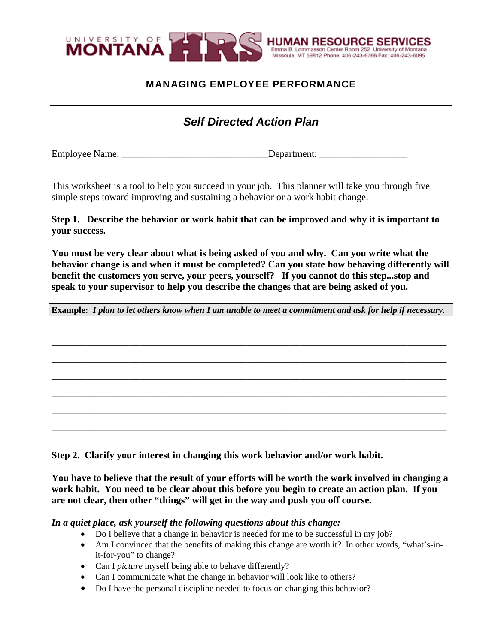

## MANAGING EMPLOYEE PERFORMANCE

# *Self Directed Action Plan*

Employee Name: \_\_\_\_\_\_\_\_\_\_\_\_\_\_\_\_\_\_\_\_\_\_\_\_\_\_\_\_\_\_Department: \_\_\_\_\_\_\_\_\_\_\_\_\_\_\_\_\_\_

This worksheet is a tool to help you succeed in your job. This planner will take you through five simple steps toward improving and sustaining a behavior or a work habit change.

**Step 1. Describe the behavior or work habit that can be improved and why it is important to your success.** 

**You must be very clear about what is being asked of you and why. Can you write what the behavior change is and when it must be completed? Can you state how behaving differently will benefit the customers you serve, your peers, yourself? If you cannot do this step...stop and speak to your supervisor to help you describe the changes that are being asked of you.** 

**Example:** *I plan to let others know when I am unable to meet a commitment and ask for help if necessary.*

**\_\_\_\_\_\_\_\_\_\_\_\_\_\_\_\_\_\_\_\_\_\_\_\_\_\_\_\_\_\_\_\_\_\_\_\_\_\_\_\_\_\_\_\_\_\_\_\_\_\_\_\_\_\_\_\_\_\_\_\_\_\_\_\_\_\_\_\_\_\_\_\_\_\_\_\_\_\_\_\_\_**

**\_\_\_\_\_\_\_\_\_\_\_\_\_\_\_\_\_\_\_\_\_\_\_\_\_\_\_\_\_\_\_\_\_\_\_\_\_\_\_\_\_\_\_\_\_\_\_\_\_\_\_\_\_\_\_\_\_\_\_\_\_\_\_\_\_\_\_\_\_\_\_\_\_\_\_\_\_\_\_\_\_**

**\_\_\_\_\_\_\_\_\_\_\_\_\_\_\_\_\_\_\_\_\_\_\_\_\_\_\_\_\_\_\_\_\_\_\_\_\_\_\_\_\_\_\_\_\_\_\_\_\_\_\_\_\_\_\_\_\_\_\_\_\_\_\_\_\_\_\_\_\_\_\_\_\_\_\_\_\_\_\_\_\_**

**\_\_\_\_\_\_\_\_\_\_\_\_\_\_\_\_\_\_\_\_\_\_\_\_\_\_\_\_\_\_\_\_\_\_\_\_\_\_\_\_\_\_\_\_\_\_\_\_\_\_\_\_\_\_\_\_\_\_\_\_\_\_\_\_\_\_\_\_\_\_\_\_\_\_\_\_\_\_\_\_\_**

**\_\_\_\_\_\_\_\_\_\_\_\_\_\_\_\_\_\_\_\_\_\_\_\_\_\_\_\_\_\_\_\_\_\_\_\_\_\_\_\_\_\_\_\_\_\_\_\_\_\_\_\_\_\_\_\_\_\_\_\_\_\_\_\_\_\_\_\_\_\_\_\_\_\_\_\_\_\_\_\_\_**

**\_\_\_\_\_\_\_\_\_\_\_\_\_\_\_\_\_\_\_\_\_\_\_\_\_\_\_\_\_\_\_\_\_\_\_\_\_\_\_\_\_\_\_\_\_\_\_\_\_\_\_\_\_\_\_\_\_\_\_\_\_\_\_\_\_\_\_\_\_\_\_\_\_\_\_\_\_\_\_\_\_**

**Step 2. Clarify your interest in changing this work behavior and/or work habit.** 

**You have to believe that the result of your efforts will be worth the work involved in changing a work habit. You need to be clear about this before you begin to create an action plan. If you are not clear, then other "things" will get in the way and push you off course.** 

*In a quiet place, ask yourself the following questions about this change:*

- Do I believe that a change in behavior is needed for me to be successful in my job?
- Am I convinced that the benefits of making this change are worth it? In other words, "what's-init-for-you" to change?
- Can I *picture* myself being able to behave differently?
- Can I communicate what the change in behavior will look like to others?
- Do I have the personal discipline needed to focus on changing this behavior?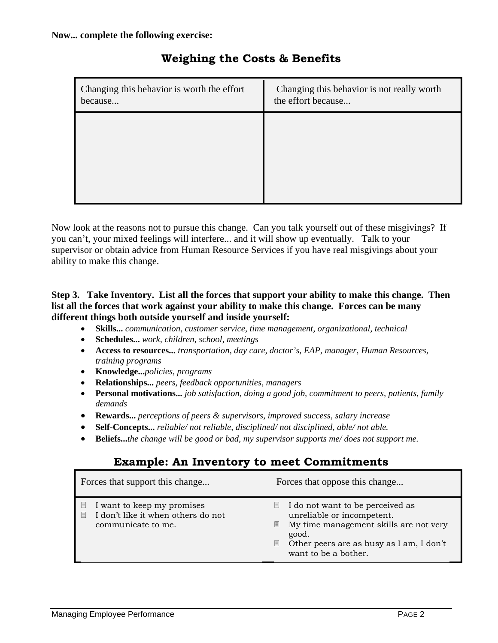| Changing this behavior is worth the effort<br>because | Changing this behavior is not really worth<br>the effort because |
|-------------------------------------------------------|------------------------------------------------------------------|
|                                                       |                                                                  |
|                                                       |                                                                  |
|                                                       |                                                                  |

# **Weighing the Costs & Benefits**

Now look at the reasons not to pursue this change. Can you talk yourself out of these misgivings? If you can't, your mixed feelings will interfere... and it will show up eventually. Talk to your supervisor or obtain advice from Human Resource Services if you have real misgivings about your ability to make this change.

#### **Step 3. Take Inventory. List all the forces that support your ability to make this change. Then list all the forces that work against your ability to make this change. Forces can be many different things both outside yourself and inside yourself:**

- **Skills...** *communication, customer service, time management, organizational, technical*
- **Schedules...** *work, children, school, meetings*
- **Access to resources...** *transportation, day care, doctor's, EAP, manager, Human Resources, training programs*
- **Knowledge...***policies, programs*
- **Relationships...** *peers, feedback opportunities, managers*
- **Personal motivations...** *job satisfaction, doing a good job, commitment to peers, patients, family demands*
- **Rewards...** *perceptions of peers & supervisors, improved success, salary increase*
- **Self-Concepts...** *reliable/ not reliable, disciplined/ not disciplined, able/ not able.*
- **Beliefs...***the change will be good or bad, my supervisor supports me/ does not support me.*

# **Example: An Inventory to meet Commitments**

| Forces that support this change                                                                  | Forces that oppose this change                                                                                                                                                                        |
|--------------------------------------------------------------------------------------------------|-------------------------------------------------------------------------------------------------------------------------------------------------------------------------------------------------------|
| I want to keep my promises<br>圁<br>I don't like it when others do not<br>圁<br>communicate to me. | I do not want to be perceived as<br>e.<br>unreliable or incompetent.<br>My time management skills are not very<br>圓<br>good.<br>Other peers are as busy as I am, I don't<br>圓<br>want to be a bother. |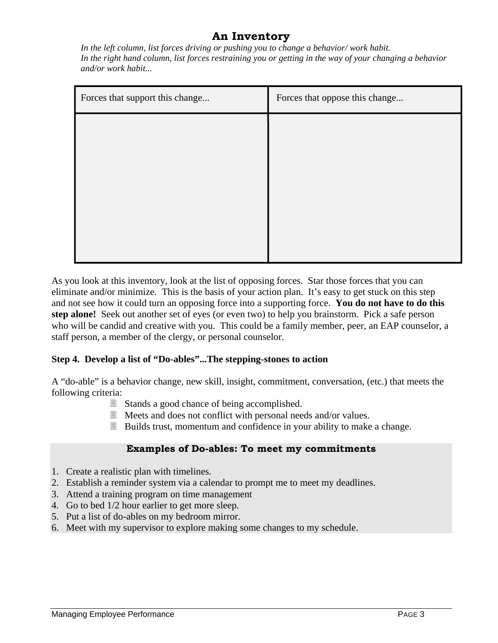## **An Inventory**

*In the left column, list forces driving or pushing you to change a behavior/ work habit. In the right hand column, list forces restraining you or getting in the way of your changing a behavior and/or work habit...* 

| Forces that support this change | Forces that oppose this change |  |
|---------------------------------|--------------------------------|--|
|                                 |                                |  |
|                                 |                                |  |
|                                 |                                |  |
|                                 |                                |  |
|                                 |                                |  |
|                                 |                                |  |

As you look at this inventory, look at the list of opposing forces. Star those forces that you can eliminate and/or minimize. This is the basis of your action plan. It's easy to get stuck on this step and not see how it could turn an opposing force into a supporting force. **You do not have to do this step alone!** Seek out another set of eyes (or even two) to help you brainstorm. Pick a safe person who will be candid and creative with you. This could be a family member, peer, an EAP counselor, a staff person, a member of the clergy, or personal counselor.

## **Step 4. Develop a list of "Do-ables"...The stepping-stones to action**

A "do-able" is a behavior change, new skill, insight, commitment, conversation, (etc.) that meets the following criteria:

- Stands a good chance of being accomplished.
- Meets and does not conflict with personal needs and/or values.
- Builds trust, momentum and confidence in your ability to make a change.

## **Examples of Do-ables: To meet my commitments**

- 1. Create a realistic plan with timelines.
- 2. Establish a reminder system via a calendar to prompt me to meet my deadlines.
- 3. Attend a training program on time management
- 4. Go to bed 1/2 hour earlier to get more sleep.
- 5. Put a list of do-ables on my bedroom mirror.
- 6. Meet with my supervisor to explore making some changes to my schedule.